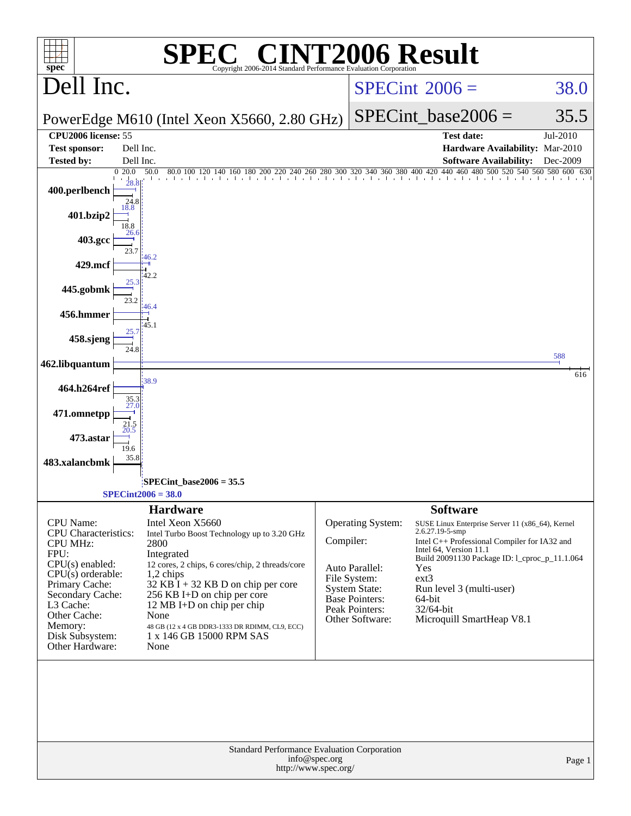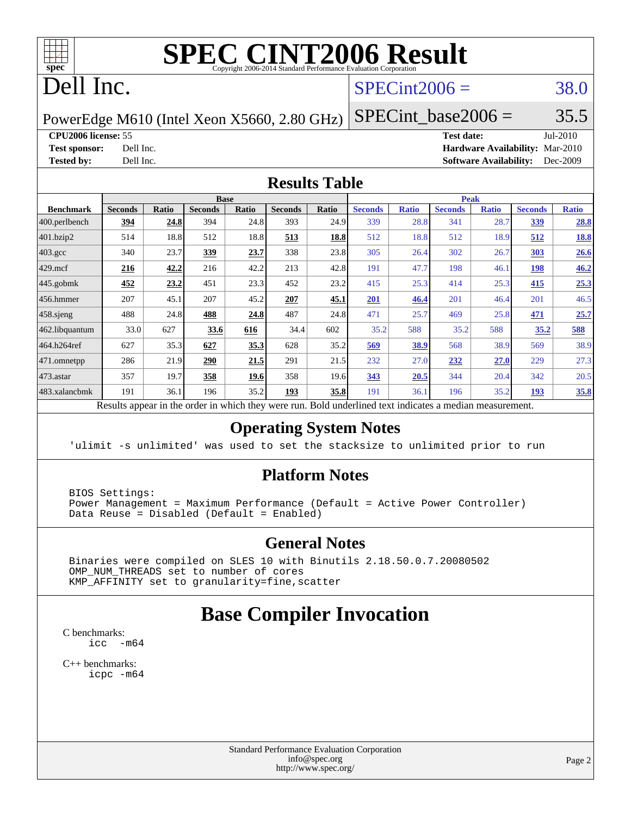

# **[SPEC CINT2006 Result](http://www.spec.org/auto/cpu2006/Docs/result-fields.html#SPECCINT2006Result)**

# Dell Inc.

### $SPECint2006 = 38.0$  $SPECint2006 = 38.0$

PowerEdge M610 (Intel Xeon X5660, 2.80 GHz)

**[CPU2006 license:](http://www.spec.org/auto/cpu2006/Docs/result-fields.html#CPU2006license)** 55 **[Test date:](http://www.spec.org/auto/cpu2006/Docs/result-fields.html#Testdate)** Jul-2010

 $SPECTnt\_base2006 = 35.5$ 

**[Test sponsor:](http://www.spec.org/auto/cpu2006/Docs/result-fields.html#Testsponsor)** Dell Inc. **[Hardware Availability:](http://www.spec.org/auto/cpu2006/Docs/result-fields.html#HardwareAvailability)** Mar-2010 **[Tested by:](http://www.spec.org/auto/cpu2006/Docs/result-fields.html#Testedby)** Dell Inc. **[Software Availability:](http://www.spec.org/auto/cpu2006/Docs/result-fields.html#SoftwareAvailability)** Dec-2009

#### **[Results Table](http://www.spec.org/auto/cpu2006/Docs/result-fields.html#ResultsTable)**

|                                                           |                |                 |                | <b>Base</b>  |                |             |                                          |              | <b>Peak</b>    |              |                |              |
|-----------------------------------------------------------|----------------|-----------------|----------------|--------------|----------------|-------------|------------------------------------------|--------------|----------------|--------------|----------------|--------------|
| <b>Benchmark</b>                                          | <b>Seconds</b> | Ratio           | <b>Seconds</b> | <b>Ratio</b> | <b>Seconds</b> | Ratio       | <b>Seconds</b>                           | <b>Ratio</b> | <b>Seconds</b> | <b>Ratio</b> | <b>Seconds</b> | <b>Ratio</b> |
| 400.perlbench                                             | 394            | 24.8            | 394            | 24.8         | 393            | 24.9        | 339                                      | 28.8         | 341            | 28.7         | <u>339</u>     | 28.8         |
| 401.bzip2                                                 | 514            | 18.8            | 512            | 18.8         | 513            | 18.8        | 512                                      | 18.8         | 512            | 18.9         | 512            | <u>18.8</u>  |
| $403.\mathrm{gcc}$                                        | 340            | 23.7            | 339            | 23.7         | 338            | 23.8        | 305                                      | 26.4         | 302            | 26.7         | 303            | 26.6         |
| $429$ mcf                                                 | 216            | 42.2            | 216            | 42.2         | 213            | 42.8        | 191                                      | 47.7         | 198            | 46.1         | 198            | 46.2         |
| $445$ .gobmk                                              | 452            | 23.2            | 451            | 23.3         | 452            | 23.2        | 415                                      | 25.3         | 414            | 25.3         | 415            | 25.3         |
| $ 456$ .hmmer                                             | 207            | 45.1            | 207            | 45.2         | 207            | 45.1        | 201                                      | 46.4         | 201            | 46.4         | 201            | 46.5         |
| $458$ .sjeng                                              | 488            | 24.8            | 488            | 24.8         | 487            | 24.8        | 471                                      | 25.7         | 469            | 25.8         | <u>471</u>     | 25.7         |
| 462.libquantum                                            | 33.0           | 627             | 33.6           | 616          | 34.4           | 602         | 35.2                                     | 588          | 35.2           | 588          | 35.2           | 588          |
| 464.h264ref                                               | 627            | 35.3            | 627            | 35.3         | 628            | 35.2        | 569                                      | 38.9         | 568            | 38.9         | 569            | 38.9         |
|                                                           | 286            | 21.9            | 290            | 21.5         | 291            | 21.5        | 232                                      | 27.0         | 232            | 27.0         | 229            | 27.3         |
|                                                           | 357            | 19.7            | 358            | 19.6         | 358            | 19.6        | 343                                      | 20.5         | 344            | 20.4         | 342            | 20.5         |
|                                                           | 191            | 36.1            | 196            | 35.2         | 193            | 35.8        | 191                                      | 36.1         | 196            | 35.2         | <u>193</u>     | 35.8         |
| 471.omnetpp<br>473.astar<br>483.xalancbmk<br><sub>n</sub> | 1.             | $\cdot$ $\cdot$ |                | 1.1.1        |                | <b>D</b> 11 | $1 \quad 1$<br>$\mathbf{1}$ $\mathbf{1}$ | $\mathbf{1}$ |                |              |                |              |

Results appear in the [order in which they were run.](http://www.spec.org/auto/cpu2006/Docs/result-fields.html#RunOrder) Bold underlined text [indicates a median measurement.](http://www.spec.org/auto/cpu2006/Docs/result-fields.html#Median)

#### **[Operating System Notes](http://www.spec.org/auto/cpu2006/Docs/result-fields.html#OperatingSystemNotes)**

'ulimit -s unlimited' was used to set the stacksize to unlimited prior to run

#### **[Platform Notes](http://www.spec.org/auto/cpu2006/Docs/result-fields.html#PlatformNotes)**

 BIOS Settings: Power Management = Maximum Performance (Default = Active Power Controller) Data Reuse = Disabled (Default = Enabled)

#### **[General Notes](http://www.spec.org/auto/cpu2006/Docs/result-fields.html#GeneralNotes)**

 Binaries were compiled on SLES 10 with Binutils 2.18.50.0.7.20080502 OMP\_NUM\_THREADS set to number of cores KMP\_AFFINITY set to granularity=fine,scatter

## **[Base Compiler Invocation](http://www.spec.org/auto/cpu2006/Docs/result-fields.html#BaseCompilerInvocation)**

[C benchmarks](http://www.spec.org/auto/cpu2006/Docs/result-fields.html#Cbenchmarks): [icc -m64](http://www.spec.org/cpu2006/results/res2010q3/cpu2006-20100719-12600.flags.html#user_CCbase_intel_icc_64bit_f346026e86af2a669e726fe758c88044)

[C++ benchmarks:](http://www.spec.org/auto/cpu2006/Docs/result-fields.html#CXXbenchmarks) [icpc -m64](http://www.spec.org/cpu2006/results/res2010q3/cpu2006-20100719-12600.flags.html#user_CXXbase_intel_icpc_64bit_fc66a5337ce925472a5c54ad6a0de310)

> Standard Performance Evaluation Corporation [info@spec.org](mailto:info@spec.org) <http://www.spec.org/>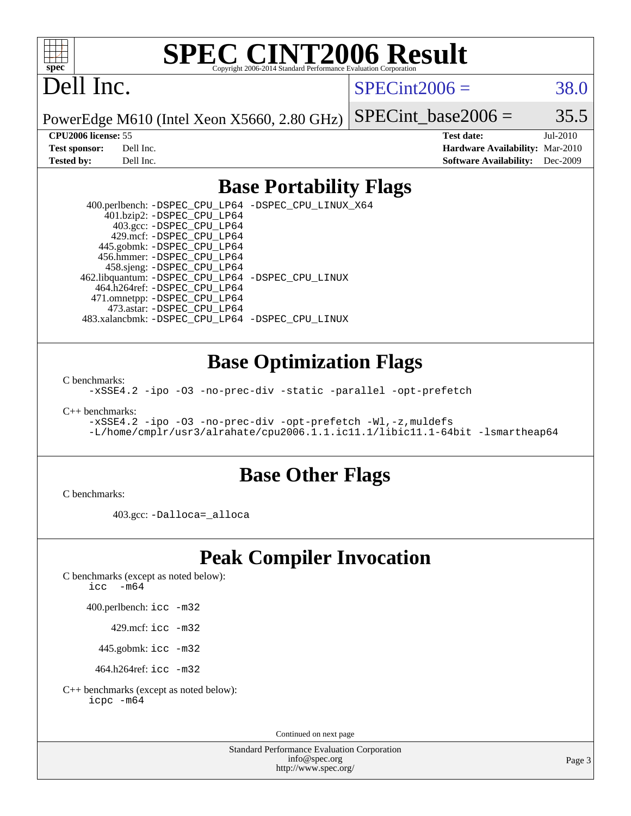

# **[SPEC CINT2006 Result](http://www.spec.org/auto/cpu2006/Docs/result-fields.html#SPECCINT2006Result)**

# Dell Inc.

 $SPECint2006 = 38.0$  $SPECint2006 = 38.0$ 

PowerEdge M610 (Intel Xeon X5660, 2.80 GHz)

SPECint base2006 =  $35.5$ 

| <b>Test sponsor:</b> | Dell Inc. |
|----------------------|-----------|
| Tested bv:           | Dell Inc. |

**[CPU2006 license:](http://www.spec.org/auto/cpu2006/Docs/result-fields.html#CPU2006license)** 55 **[Test date:](http://www.spec.org/auto/cpu2006/Docs/result-fields.html#Testdate)** Jul-2010 **[Hardware Availability:](http://www.spec.org/auto/cpu2006/Docs/result-fields.html#HardwareAvailability)** Mar-2010 **[Software Availability:](http://www.spec.org/auto/cpu2006/Docs/result-fields.html#SoftwareAvailability)** Dec-2009

#### **[Base Portability Flags](http://www.spec.org/auto/cpu2006/Docs/result-fields.html#BasePortabilityFlags)**

 400.perlbench: [-DSPEC\\_CPU\\_LP64](http://www.spec.org/cpu2006/results/res2010q3/cpu2006-20100719-12600.flags.html#b400.perlbench_basePORTABILITY_DSPEC_CPU_LP64) [-DSPEC\\_CPU\\_LINUX\\_X64](http://www.spec.org/cpu2006/results/res2010q3/cpu2006-20100719-12600.flags.html#b400.perlbench_baseCPORTABILITY_DSPEC_CPU_LINUX_X64) 401.bzip2: [-DSPEC\\_CPU\\_LP64](http://www.spec.org/cpu2006/results/res2010q3/cpu2006-20100719-12600.flags.html#suite_basePORTABILITY401_bzip2_DSPEC_CPU_LP64) 403.gcc: [-DSPEC\\_CPU\\_LP64](http://www.spec.org/cpu2006/results/res2010q3/cpu2006-20100719-12600.flags.html#suite_basePORTABILITY403_gcc_DSPEC_CPU_LP64) 429.mcf: [-DSPEC\\_CPU\\_LP64](http://www.spec.org/cpu2006/results/res2010q3/cpu2006-20100719-12600.flags.html#suite_basePORTABILITY429_mcf_DSPEC_CPU_LP64) 445.gobmk: [-DSPEC\\_CPU\\_LP64](http://www.spec.org/cpu2006/results/res2010q3/cpu2006-20100719-12600.flags.html#suite_basePORTABILITY445_gobmk_DSPEC_CPU_LP64) 456.hmmer: [-DSPEC\\_CPU\\_LP64](http://www.spec.org/cpu2006/results/res2010q3/cpu2006-20100719-12600.flags.html#suite_basePORTABILITY456_hmmer_DSPEC_CPU_LP64) 458.sjeng: [-DSPEC\\_CPU\\_LP64](http://www.spec.org/cpu2006/results/res2010q3/cpu2006-20100719-12600.flags.html#suite_basePORTABILITY458_sjeng_DSPEC_CPU_LP64) 462.libquantum: [-DSPEC\\_CPU\\_LP64](http://www.spec.org/cpu2006/results/res2010q3/cpu2006-20100719-12600.flags.html#suite_basePORTABILITY462_libquantum_DSPEC_CPU_LP64) [-DSPEC\\_CPU\\_LINUX](http://www.spec.org/cpu2006/results/res2010q3/cpu2006-20100719-12600.flags.html#b462.libquantum_baseCPORTABILITY_DSPEC_CPU_LINUX) 464.h264ref: [-DSPEC\\_CPU\\_LP64](http://www.spec.org/cpu2006/results/res2010q3/cpu2006-20100719-12600.flags.html#suite_basePORTABILITY464_h264ref_DSPEC_CPU_LP64) 471.omnetpp: [-DSPEC\\_CPU\\_LP64](http://www.spec.org/cpu2006/results/res2010q3/cpu2006-20100719-12600.flags.html#suite_basePORTABILITY471_omnetpp_DSPEC_CPU_LP64) 473.astar: [-DSPEC\\_CPU\\_LP64](http://www.spec.org/cpu2006/results/res2010q3/cpu2006-20100719-12600.flags.html#suite_basePORTABILITY473_astar_DSPEC_CPU_LP64) 483.xalancbmk: [-DSPEC\\_CPU\\_LP64](http://www.spec.org/cpu2006/results/res2010q3/cpu2006-20100719-12600.flags.html#suite_basePORTABILITY483_xalancbmk_DSPEC_CPU_LP64) [-DSPEC\\_CPU\\_LINUX](http://www.spec.org/cpu2006/results/res2010q3/cpu2006-20100719-12600.flags.html#b483.xalancbmk_baseCXXPORTABILITY_DSPEC_CPU_LINUX)

#### **[Base Optimization Flags](http://www.spec.org/auto/cpu2006/Docs/result-fields.html#BaseOptimizationFlags)**

[C benchmarks](http://www.spec.org/auto/cpu2006/Docs/result-fields.html#Cbenchmarks):

[-xSSE4.2](http://www.spec.org/cpu2006/results/res2010q3/cpu2006-20100719-12600.flags.html#user_CCbase_f-xSSE42_f91528193cf0b216347adb8b939d4107) [-ipo](http://www.spec.org/cpu2006/results/res2010q3/cpu2006-20100719-12600.flags.html#user_CCbase_f-ipo) [-O3](http://www.spec.org/cpu2006/results/res2010q3/cpu2006-20100719-12600.flags.html#user_CCbase_f-O3) [-no-prec-div](http://www.spec.org/cpu2006/results/res2010q3/cpu2006-20100719-12600.flags.html#user_CCbase_f-no-prec-div) [-static](http://www.spec.org/cpu2006/results/res2010q3/cpu2006-20100719-12600.flags.html#user_CCbase_f-static) [-parallel](http://www.spec.org/cpu2006/results/res2010q3/cpu2006-20100719-12600.flags.html#user_CCbase_f-parallel) [-opt-prefetch](http://www.spec.org/cpu2006/results/res2010q3/cpu2006-20100719-12600.flags.html#user_CCbase_f-opt-prefetch)

[C++ benchmarks:](http://www.spec.org/auto/cpu2006/Docs/result-fields.html#CXXbenchmarks)

```
-xSSE4.2 -ipo -O3 -no-prec-div -opt-prefetch -Wl,-z,muldefs
-L/home/cmplr/usr3/alrahate/cpu2006.1.1.ic11.1/libic11.1-64bit -lsmartheap64
```
#### **[Base Other Flags](http://www.spec.org/auto/cpu2006/Docs/result-fields.html#BaseOtherFlags)**

[C benchmarks](http://www.spec.org/auto/cpu2006/Docs/result-fields.html#Cbenchmarks):

403.gcc: [-Dalloca=\\_alloca](http://www.spec.org/cpu2006/results/res2010q3/cpu2006-20100719-12600.flags.html#b403.gcc_baseEXTRA_CFLAGS_Dalloca_be3056838c12de2578596ca5467af7f3)

## **[Peak Compiler Invocation](http://www.spec.org/auto/cpu2006/Docs/result-fields.html#PeakCompilerInvocation)**

[C benchmarks \(except as noted below\)](http://www.spec.org/auto/cpu2006/Docs/result-fields.html#Cbenchmarksexceptasnotedbelow):

[icc -m64](http://www.spec.org/cpu2006/results/res2010q3/cpu2006-20100719-12600.flags.html#user_CCpeak_intel_icc_64bit_f346026e86af2a669e726fe758c88044)

400.perlbench: [icc -m32](http://www.spec.org/cpu2006/results/res2010q3/cpu2006-20100719-12600.flags.html#user_peakCCLD400_perlbench_intel_icc_32bit_a6a621f8d50482236b970c6ac5f55f93)

429.mcf: [icc -m32](http://www.spec.org/cpu2006/results/res2010q3/cpu2006-20100719-12600.flags.html#user_peakCCLD429_mcf_intel_icc_32bit_a6a621f8d50482236b970c6ac5f55f93)

445.gobmk: [icc -m32](http://www.spec.org/cpu2006/results/res2010q3/cpu2006-20100719-12600.flags.html#user_peakCCLD445_gobmk_intel_icc_32bit_a6a621f8d50482236b970c6ac5f55f93)

464.h264ref: [icc -m32](http://www.spec.org/cpu2006/results/res2010q3/cpu2006-20100719-12600.flags.html#user_peakCCLD464_h264ref_intel_icc_32bit_a6a621f8d50482236b970c6ac5f55f93)

[C++ benchmarks \(except as noted below\):](http://www.spec.org/auto/cpu2006/Docs/result-fields.html#CXXbenchmarksexceptasnotedbelow) [icpc -m64](http://www.spec.org/cpu2006/results/res2010q3/cpu2006-20100719-12600.flags.html#user_CXXpeak_intel_icpc_64bit_fc66a5337ce925472a5c54ad6a0de310)

Continued on next page

Standard Performance Evaluation Corporation [info@spec.org](mailto:info@spec.org) <http://www.spec.org/>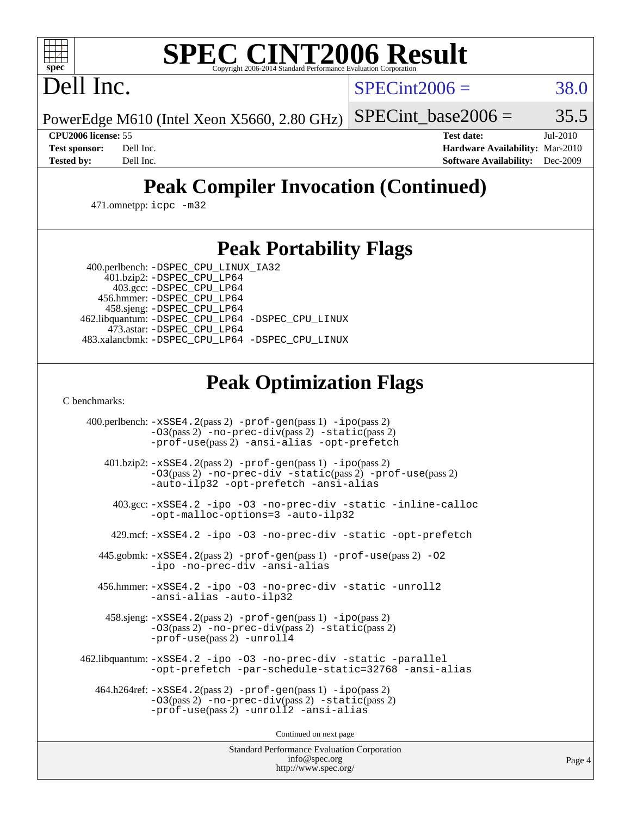# **[SPEC CINT2006 Result](http://www.spec.org/auto/cpu2006/Docs/result-fields.html#SPECCINT2006Result)**

Dell Inc.

 $SPECint2006 = 38.0$  $SPECint2006 = 38.0$ 

PowerEdge M610 (Intel Xeon X5660, 2.80 GHz) SPECint base2006 =  $35.5$ 

**[CPU2006 license:](http://www.spec.org/auto/cpu2006/Docs/result-fields.html#CPU2006license)** 55 **[Test date:](http://www.spec.org/auto/cpu2006/Docs/result-fields.html#Testdate)** Jul-2010 **[Test sponsor:](http://www.spec.org/auto/cpu2006/Docs/result-fields.html#Testsponsor)** Dell Inc. **[Hardware Availability:](http://www.spec.org/auto/cpu2006/Docs/result-fields.html#HardwareAvailability)** Mar-2010 **[Tested by:](http://www.spec.org/auto/cpu2006/Docs/result-fields.html#Testedby)** Dell Inc. **[Software Availability:](http://www.spec.org/auto/cpu2006/Docs/result-fields.html#SoftwareAvailability)** Dec-2009

# **[Peak Compiler Invocation \(Continued\)](http://www.spec.org/auto/cpu2006/Docs/result-fields.html#PeakCompilerInvocation)**

471.omnetpp: [icpc -m32](http://www.spec.org/cpu2006/results/res2010q3/cpu2006-20100719-12600.flags.html#user_peakCXXLD471_omnetpp_intel_icpc_32bit_4e5a5ef1a53fd332b3c49e69c3330699)

## **[Peak Portability Flags](http://www.spec.org/auto/cpu2006/Docs/result-fields.html#PeakPortabilityFlags)**

 400.perlbench: [-DSPEC\\_CPU\\_LINUX\\_IA32](http://www.spec.org/cpu2006/results/res2010q3/cpu2006-20100719-12600.flags.html#b400.perlbench_peakCPORTABILITY_DSPEC_CPU_LINUX_IA32) 401.bzip2: [-DSPEC\\_CPU\\_LP64](http://www.spec.org/cpu2006/results/res2010q3/cpu2006-20100719-12600.flags.html#suite_peakPORTABILITY401_bzip2_DSPEC_CPU_LP64)

 403.gcc: [-DSPEC\\_CPU\\_LP64](http://www.spec.org/cpu2006/results/res2010q3/cpu2006-20100719-12600.flags.html#suite_peakPORTABILITY403_gcc_DSPEC_CPU_LP64) 456.hmmer: [-DSPEC\\_CPU\\_LP64](http://www.spec.org/cpu2006/results/res2010q3/cpu2006-20100719-12600.flags.html#suite_peakPORTABILITY456_hmmer_DSPEC_CPU_LP64) 458.sjeng: [-DSPEC\\_CPU\\_LP64](http://www.spec.org/cpu2006/results/res2010q3/cpu2006-20100719-12600.flags.html#suite_peakPORTABILITY458_sjeng_DSPEC_CPU_LP64) 462.libquantum: [-DSPEC\\_CPU\\_LP64](http://www.spec.org/cpu2006/results/res2010q3/cpu2006-20100719-12600.flags.html#suite_peakPORTABILITY462_libquantum_DSPEC_CPU_LP64) [-DSPEC\\_CPU\\_LINUX](http://www.spec.org/cpu2006/results/res2010q3/cpu2006-20100719-12600.flags.html#b462.libquantum_peakCPORTABILITY_DSPEC_CPU_LINUX) 473.astar: [-DSPEC\\_CPU\\_LP64](http://www.spec.org/cpu2006/results/res2010q3/cpu2006-20100719-12600.flags.html#suite_peakPORTABILITY473_astar_DSPEC_CPU_LP64) 483.xalancbmk: [-DSPEC\\_CPU\\_LP64](http://www.spec.org/cpu2006/results/res2010q3/cpu2006-20100719-12600.flags.html#suite_peakPORTABILITY483_xalancbmk_DSPEC_CPU_LP64) [-DSPEC\\_CPU\\_LINUX](http://www.spec.org/cpu2006/results/res2010q3/cpu2006-20100719-12600.flags.html#b483.xalancbmk_peakCXXPORTABILITY_DSPEC_CPU_LINUX)

# **[Peak Optimization Flags](http://www.spec.org/auto/cpu2006/Docs/result-fields.html#PeakOptimizationFlags)**

[C benchmarks](http://www.spec.org/auto/cpu2006/Docs/result-fields.html#Cbenchmarks):

 400.perlbench: [-xSSE4.2](http://www.spec.org/cpu2006/results/res2010q3/cpu2006-20100719-12600.flags.html#user_peakPASS2_CFLAGSPASS2_LDCFLAGS400_perlbench_f-xSSE42_f91528193cf0b216347adb8b939d4107)(pass 2) [-prof-gen](http://www.spec.org/cpu2006/results/res2010q3/cpu2006-20100719-12600.flags.html#user_peakPASS1_CFLAGSPASS1_LDCFLAGS400_perlbench_prof_gen_e43856698f6ca7b7e442dfd80e94a8fc)(pass 1) [-ipo](http://www.spec.org/cpu2006/results/res2010q3/cpu2006-20100719-12600.flags.html#user_peakPASS2_CFLAGSPASS2_LDCFLAGS400_perlbench_f-ipo)(pass 2) [-O3](http://www.spec.org/cpu2006/results/res2010q3/cpu2006-20100719-12600.flags.html#user_peakPASS2_CFLAGSPASS2_LDCFLAGS400_perlbench_f-O3)(pass 2) [-no-prec-div](http://www.spec.org/cpu2006/results/res2010q3/cpu2006-20100719-12600.flags.html#user_peakPASS2_CFLAGSPASS2_LDCFLAGS400_perlbench_f-no-prec-div)(pass 2) [-static](http://www.spec.org/cpu2006/results/res2010q3/cpu2006-20100719-12600.flags.html#user_peakPASS2_CFLAGSPASS2_LDCFLAGS400_perlbench_f-static)(pass 2) [-prof-use](http://www.spec.org/cpu2006/results/res2010q3/cpu2006-20100719-12600.flags.html#user_peakPASS2_CFLAGSPASS2_LDCFLAGS400_perlbench_prof_use_bccf7792157ff70d64e32fe3e1250b55)(pass 2) [-ansi-alias](http://www.spec.org/cpu2006/results/res2010q3/cpu2006-20100719-12600.flags.html#user_peakCOPTIMIZE400_perlbench_f-ansi-alias) [-opt-prefetch](http://www.spec.org/cpu2006/results/res2010q3/cpu2006-20100719-12600.flags.html#user_peakCOPTIMIZE400_perlbench_f-opt-prefetch) 401.bzip2: [-xSSE4.2](http://www.spec.org/cpu2006/results/res2010q3/cpu2006-20100719-12600.flags.html#user_peakPASS2_CFLAGSPASS2_LDCFLAGS401_bzip2_f-xSSE42_f91528193cf0b216347adb8b939d4107)(pass 2) [-prof-gen](http://www.spec.org/cpu2006/results/res2010q3/cpu2006-20100719-12600.flags.html#user_peakPASS1_CFLAGSPASS1_LDCFLAGS401_bzip2_prof_gen_e43856698f6ca7b7e442dfd80e94a8fc)(pass 1) [-ipo](http://www.spec.org/cpu2006/results/res2010q3/cpu2006-20100719-12600.flags.html#user_peakPASS2_CFLAGSPASS2_LDCFLAGS401_bzip2_f-ipo)(pass 2) [-O3](http://www.spec.org/cpu2006/results/res2010q3/cpu2006-20100719-12600.flags.html#user_peakPASS2_CFLAGSPASS2_LDCFLAGS401_bzip2_f-O3)(pass 2) [-no-prec-div](http://www.spec.org/cpu2006/results/res2010q3/cpu2006-20100719-12600.flags.html#user_peakCOPTIMIZEPASS2_CFLAGSPASS2_LDCFLAGS401_bzip2_f-no-prec-div) [-static](http://www.spec.org/cpu2006/results/res2010q3/cpu2006-20100719-12600.flags.html#user_peakPASS2_CFLAGSPASS2_LDCFLAGS401_bzip2_f-static)(pass 2) [-prof-use](http://www.spec.org/cpu2006/results/res2010q3/cpu2006-20100719-12600.flags.html#user_peakPASS2_CFLAGSPASS2_LDCFLAGS401_bzip2_prof_use_bccf7792157ff70d64e32fe3e1250b55)(pass 2) [-auto-ilp32](http://www.spec.org/cpu2006/results/res2010q3/cpu2006-20100719-12600.flags.html#user_peakCOPTIMIZE401_bzip2_f-auto-ilp32) [-opt-prefetch](http://www.spec.org/cpu2006/results/res2010q3/cpu2006-20100719-12600.flags.html#user_peakCOPTIMIZE401_bzip2_f-opt-prefetch) [-ansi-alias](http://www.spec.org/cpu2006/results/res2010q3/cpu2006-20100719-12600.flags.html#user_peakCOPTIMIZE401_bzip2_f-ansi-alias) 403.gcc: [-xSSE4.2](http://www.spec.org/cpu2006/results/res2010q3/cpu2006-20100719-12600.flags.html#user_peakCOPTIMIZE403_gcc_f-xSSE42_f91528193cf0b216347adb8b939d4107) [-ipo](http://www.spec.org/cpu2006/results/res2010q3/cpu2006-20100719-12600.flags.html#user_peakCOPTIMIZE403_gcc_f-ipo) [-O3](http://www.spec.org/cpu2006/results/res2010q3/cpu2006-20100719-12600.flags.html#user_peakCOPTIMIZE403_gcc_f-O3) [-no-prec-div](http://www.spec.org/cpu2006/results/res2010q3/cpu2006-20100719-12600.flags.html#user_peakCOPTIMIZE403_gcc_f-no-prec-div) [-static](http://www.spec.org/cpu2006/results/res2010q3/cpu2006-20100719-12600.flags.html#user_peakCOPTIMIZE403_gcc_f-static) [-inline-calloc](http://www.spec.org/cpu2006/results/res2010q3/cpu2006-20100719-12600.flags.html#user_peakCOPTIMIZE403_gcc_f-inline-calloc) [-opt-malloc-options=3](http://www.spec.org/cpu2006/results/res2010q3/cpu2006-20100719-12600.flags.html#user_peakCOPTIMIZE403_gcc_f-opt-malloc-options_13ab9b803cf986b4ee62f0a5998c2238) [-auto-ilp32](http://www.spec.org/cpu2006/results/res2010q3/cpu2006-20100719-12600.flags.html#user_peakCOPTIMIZE403_gcc_f-auto-ilp32) 429.mcf: [-xSSE4.2](http://www.spec.org/cpu2006/results/res2010q3/cpu2006-20100719-12600.flags.html#user_peakCOPTIMIZE429_mcf_f-xSSE42_f91528193cf0b216347adb8b939d4107) [-ipo](http://www.spec.org/cpu2006/results/res2010q3/cpu2006-20100719-12600.flags.html#user_peakCOPTIMIZE429_mcf_f-ipo) [-O3](http://www.spec.org/cpu2006/results/res2010q3/cpu2006-20100719-12600.flags.html#user_peakCOPTIMIZE429_mcf_f-O3) [-no-prec-div](http://www.spec.org/cpu2006/results/res2010q3/cpu2006-20100719-12600.flags.html#user_peakCOPTIMIZE429_mcf_f-no-prec-div) [-static](http://www.spec.org/cpu2006/results/res2010q3/cpu2006-20100719-12600.flags.html#user_peakCOPTIMIZE429_mcf_f-static) [-opt-prefetch](http://www.spec.org/cpu2006/results/res2010q3/cpu2006-20100719-12600.flags.html#user_peakCOPTIMIZE429_mcf_f-opt-prefetch) 445.gobmk: [-xSSE4.2](http://www.spec.org/cpu2006/results/res2010q3/cpu2006-20100719-12600.flags.html#user_peakPASS2_CFLAGSPASS2_LDCFLAGS445_gobmk_f-xSSE42_f91528193cf0b216347adb8b939d4107)(pass 2) [-prof-gen](http://www.spec.org/cpu2006/results/res2010q3/cpu2006-20100719-12600.flags.html#user_peakPASS1_CFLAGSPASS1_LDCFLAGS445_gobmk_prof_gen_e43856698f6ca7b7e442dfd80e94a8fc)(pass 1) [-prof-use](http://www.spec.org/cpu2006/results/res2010q3/cpu2006-20100719-12600.flags.html#user_peakPASS2_CFLAGSPASS2_LDCFLAGS445_gobmk_prof_use_bccf7792157ff70d64e32fe3e1250b55)(pass 2) [-O2](http://www.spec.org/cpu2006/results/res2010q3/cpu2006-20100719-12600.flags.html#user_peakCOPTIMIZE445_gobmk_f-O2) [-ipo](http://www.spec.org/cpu2006/results/res2010q3/cpu2006-20100719-12600.flags.html#user_peakCOPTIMIZE445_gobmk_f-ipo) [-no-prec-div](http://www.spec.org/cpu2006/results/res2010q3/cpu2006-20100719-12600.flags.html#user_peakCOPTIMIZE445_gobmk_f-no-prec-div) [-ansi-alias](http://www.spec.org/cpu2006/results/res2010q3/cpu2006-20100719-12600.flags.html#user_peakCOPTIMIZE445_gobmk_f-ansi-alias) 456.hmmer: [-xSSE4.2](http://www.spec.org/cpu2006/results/res2010q3/cpu2006-20100719-12600.flags.html#user_peakCOPTIMIZE456_hmmer_f-xSSE42_f91528193cf0b216347adb8b939d4107) [-ipo](http://www.spec.org/cpu2006/results/res2010q3/cpu2006-20100719-12600.flags.html#user_peakCOPTIMIZE456_hmmer_f-ipo) [-O3](http://www.spec.org/cpu2006/results/res2010q3/cpu2006-20100719-12600.flags.html#user_peakCOPTIMIZE456_hmmer_f-O3) [-no-prec-div](http://www.spec.org/cpu2006/results/res2010q3/cpu2006-20100719-12600.flags.html#user_peakCOPTIMIZE456_hmmer_f-no-prec-div) [-static](http://www.spec.org/cpu2006/results/res2010q3/cpu2006-20100719-12600.flags.html#user_peakCOPTIMIZE456_hmmer_f-static) [-unroll2](http://www.spec.org/cpu2006/results/res2010q3/cpu2006-20100719-12600.flags.html#user_peakCOPTIMIZE456_hmmer_f-unroll_784dae83bebfb236979b41d2422d7ec2) [-ansi-alias](http://www.spec.org/cpu2006/results/res2010q3/cpu2006-20100719-12600.flags.html#user_peakCOPTIMIZE456_hmmer_f-ansi-alias) [-auto-ilp32](http://www.spec.org/cpu2006/results/res2010q3/cpu2006-20100719-12600.flags.html#user_peakCOPTIMIZE456_hmmer_f-auto-ilp32) 458.sjeng: [-xSSE4.2](http://www.spec.org/cpu2006/results/res2010q3/cpu2006-20100719-12600.flags.html#user_peakPASS2_CFLAGSPASS2_LDCFLAGS458_sjeng_f-xSSE42_f91528193cf0b216347adb8b939d4107)(pass 2) [-prof-gen](http://www.spec.org/cpu2006/results/res2010q3/cpu2006-20100719-12600.flags.html#user_peakPASS1_CFLAGSPASS1_LDCFLAGS458_sjeng_prof_gen_e43856698f6ca7b7e442dfd80e94a8fc)(pass 1) [-ipo](http://www.spec.org/cpu2006/results/res2010q3/cpu2006-20100719-12600.flags.html#user_peakPASS2_CFLAGSPASS2_LDCFLAGS458_sjeng_f-ipo)(pass 2) [-O3](http://www.spec.org/cpu2006/results/res2010q3/cpu2006-20100719-12600.flags.html#user_peakPASS2_CFLAGSPASS2_LDCFLAGS458_sjeng_f-O3)(pass 2) [-no-prec-div](http://www.spec.org/cpu2006/results/res2010q3/cpu2006-20100719-12600.flags.html#user_peakPASS2_CFLAGSPASS2_LDCFLAGS458_sjeng_f-no-prec-div)(pass 2) [-static](http://www.spec.org/cpu2006/results/res2010q3/cpu2006-20100719-12600.flags.html#user_peakPASS2_CFLAGSPASS2_LDCFLAGS458_sjeng_f-static)(pass 2) [-prof-use](http://www.spec.org/cpu2006/results/res2010q3/cpu2006-20100719-12600.flags.html#user_peakPASS2_CFLAGSPASS2_LDCFLAGS458_sjeng_prof_use_bccf7792157ff70d64e32fe3e1250b55)(pass 2) [-unroll4](http://www.spec.org/cpu2006/results/res2010q3/cpu2006-20100719-12600.flags.html#user_peakCOPTIMIZE458_sjeng_f-unroll_4e5e4ed65b7fd20bdcd365bec371b81f) 462.libquantum: [-xSSE4.2](http://www.spec.org/cpu2006/results/res2010q3/cpu2006-20100719-12600.flags.html#user_peakCOPTIMIZE462_libquantum_f-xSSE42_f91528193cf0b216347adb8b939d4107) [-ipo](http://www.spec.org/cpu2006/results/res2010q3/cpu2006-20100719-12600.flags.html#user_peakCOPTIMIZE462_libquantum_f-ipo) [-O3](http://www.spec.org/cpu2006/results/res2010q3/cpu2006-20100719-12600.flags.html#user_peakCOPTIMIZE462_libquantum_f-O3) [-no-prec-div](http://www.spec.org/cpu2006/results/res2010q3/cpu2006-20100719-12600.flags.html#user_peakCOPTIMIZE462_libquantum_f-no-prec-div) [-static](http://www.spec.org/cpu2006/results/res2010q3/cpu2006-20100719-12600.flags.html#user_peakCOPTIMIZE462_libquantum_f-static) [-parallel](http://www.spec.org/cpu2006/results/res2010q3/cpu2006-20100719-12600.flags.html#user_peakCOPTIMIZE462_libquantum_f-parallel) [-opt-prefetch](http://www.spec.org/cpu2006/results/res2010q3/cpu2006-20100719-12600.flags.html#user_peakCOPTIMIZE462_libquantum_f-opt-prefetch) [-par-schedule-static=32768](http://www.spec.org/cpu2006/results/res2010q3/cpu2006-20100719-12600.flags.html#user_peakCOPTIMIZE462_libquantum_f-par-schedule_9386bcd99ba64e99ee01d1aafefddd14) [-ansi-alias](http://www.spec.org/cpu2006/results/res2010q3/cpu2006-20100719-12600.flags.html#user_peakCOPTIMIZE462_libquantum_f-ansi-alias) 464.h264ref: [-xSSE4.2](http://www.spec.org/cpu2006/results/res2010q3/cpu2006-20100719-12600.flags.html#user_peakPASS2_CFLAGSPASS2_LDCFLAGS464_h264ref_f-xSSE42_f91528193cf0b216347adb8b939d4107)(pass 2) [-prof-gen](http://www.spec.org/cpu2006/results/res2010q3/cpu2006-20100719-12600.flags.html#user_peakPASS1_CFLAGSPASS1_LDCFLAGS464_h264ref_prof_gen_e43856698f6ca7b7e442dfd80e94a8fc)(pass 1) [-ipo](http://www.spec.org/cpu2006/results/res2010q3/cpu2006-20100719-12600.flags.html#user_peakPASS2_CFLAGSPASS2_LDCFLAGS464_h264ref_f-ipo)(pass 2) [-O3](http://www.spec.org/cpu2006/results/res2010q3/cpu2006-20100719-12600.flags.html#user_peakPASS2_CFLAGSPASS2_LDCFLAGS464_h264ref_f-O3)(pass 2) [-no-prec-div](http://www.spec.org/cpu2006/results/res2010q3/cpu2006-20100719-12600.flags.html#user_peakPASS2_CFLAGSPASS2_LDCFLAGS464_h264ref_f-no-prec-div)(pass 2) [-static](http://www.spec.org/cpu2006/results/res2010q3/cpu2006-20100719-12600.flags.html#user_peakPASS2_CFLAGSPASS2_LDCFLAGS464_h264ref_f-static)(pass 2) [-prof-use](http://www.spec.org/cpu2006/results/res2010q3/cpu2006-20100719-12600.flags.html#user_peakPASS2_CFLAGSPASS2_LDCFLAGS464_h264ref_prof_use_bccf7792157ff70d64e32fe3e1250b55)(pass 2) [-unroll2](http://www.spec.org/cpu2006/results/res2010q3/cpu2006-20100719-12600.flags.html#user_peakCOPTIMIZE464_h264ref_f-unroll_784dae83bebfb236979b41d2422d7ec2) [-ansi-alias](http://www.spec.org/cpu2006/results/res2010q3/cpu2006-20100719-12600.flags.html#user_peakCOPTIMIZE464_h264ref_f-ansi-alias)

Continued on next page

Standard Performance Evaluation Corporation [info@spec.org](mailto:info@spec.org) <http://www.spec.org/>